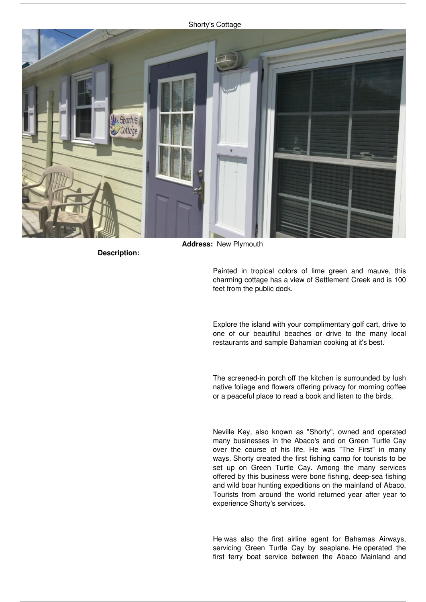## *Shorty's Cottage*



**Description:** 

**Address:** *New Plymouth*

*Painted in tropical colors of lime green and mauve, this charming cottage has a view of Settlement Creek and is 100 feet from the public dock.*

*Explore the island with your complimentary golf cart, drive to one of our beautiful beaches or drive to the many local restaurants and sample Bahamian cooking at it's best.*

*The screened-in porch off the kitchen is surrounded by lush native foliage and flowers offering privacy for morning coffee or a peaceful place to read a book and listen to the birds.*

*Neville Key, also known as "Shorty", owned and operated many businesses in the Abaco's and on Green Turtle Cay over the course of his life. He was "The First" in many ways. Shorty created the first fishing camp for tourists to be set up on Green Turtle Cay. Among the many services offered by this business were bone fishing, deep-sea fishing and wild boar hunting expeditions on the mainland of Abaco. Tourists from around the world returned year after year to experience Shorty's services.*

*He was also the first airline agent for Bahamas Airways, servicing Green Turtle Cay by seaplane. He operated the first ferry boat service between the Abaco Mainland and*